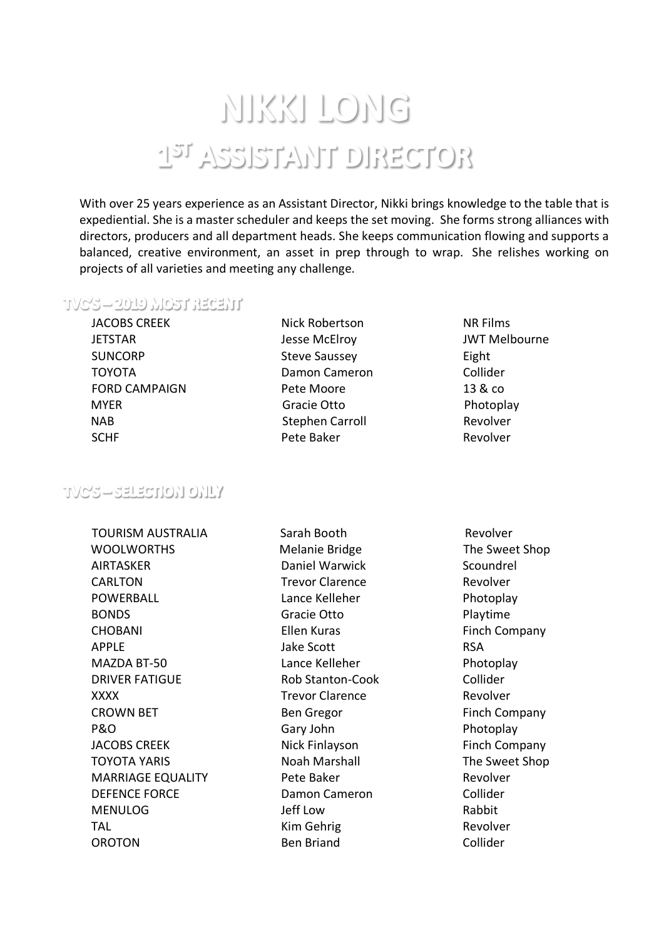# NIKKI LONG T21 VRRIELVALL DIBECLOB

With over 25 years experience as an Assistant Director, Nikki brings knowledge to the table that is expediential. She is a master scheduler and keeps the set moving. She forms strong alliances with directors, producers and all department heads. She keeps communication flowing and supports a balanced, creative environment, an asset in prep through to wrap. She relishes working on projects of all varieties and meeting any challenge.

#### TVC'S—2019 MOST RECENT

JACOBS CREEK **JETSTAR** SUNCORP TOYOTA FORD CAMPAIGN MYER Gracie Otto **Photoplay**  NAB Stephen Carroll Revolver SCHF Pete Baker Revolver

- Nick Robertson Jesse McElroy Steve Saussey Damon Cameron Pete Moore
- NR Films JWT Melbourne Eight Collider 13 & co

## **TVCS-SELECTION ONLY**

TOURISM AUSTRALIA Sarah Booth Revolver WOOLWORTHS Melanie Bridge The Sweet Shop AIRTASKER CARLTON POWERBALL Lance Kelleher Photoplay BONDS Gracie Otto Playtime CHOBANI Ellen Kuras Finch Company APPLE and a state of the Scott of the RSA MAZDA BT-50 Lance Kelleher Photoplay DRIVER FATIGUE Rob Stanton-Cook Collider XXXX Trevor Clarence Revolver CROWN BET Ben Gregor Finch Company P&O Gary John P&O PRO JACOBS CREEK Nick Finlayson Finch Company TOYOTA YARIS Noah Marshall The Sweet Shop MARRIAGE EQUALITY Pete Baker **Revolver** Revolver DEFENCE FORCE Damon Cameron Collider MENULOG Jeff Low Rabbit TAL **TAL Kim Gehrig Revolver** OROTON Ben Briand Collider

Daniel Warwick Trevor Clarence **Scoundrel** Revolver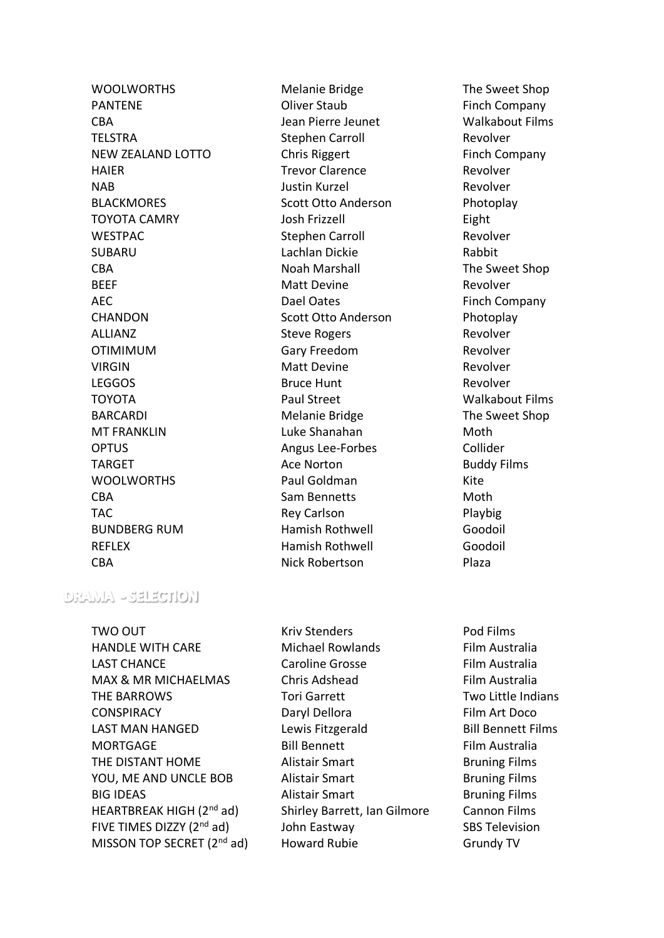PANTENE **COMPANTENE** Oliver Staub **Finch Company** CBA Jean Pierre Jeunet Walkabout Films TELSTRA Stephen Carroll Revolver NEW ZEALAND LOTTO Chris Riggert Finch Company HAIER Trevor Clarence Revolver NAB Justin Kurzel Revolver BLACKMORES Scott Otto Anderson Photoplay TOYOTA CAMRY Josh Frizzell Eight WESTPAC Stephen Carroll Revolver SUBARU Lachlan Dickie Rabbit CBA Noah Marshall The Sweet Shop BEEF Matt Devine Matt Devine Revolver AEC Dael Oates **Dael Oates** Finch Company CHANDON Scott Otto Anderson Photoplay ALLIANZ Steve Rogers Revolver OTIMIMUM Gary Freedom Revolver VIRGIN Matt Devine Matt Devine Revolver LEGGOS Bruce Hunt Revolver TOYOTA Paul Street Walkabout Films BARCARDI Melanie Bridge The Sweet Shop MT FRANKLIN Luke Shanahan Moth OPTUS Angus Lee-Forbes Collider TARGET TARGET Ace Norton Ace Norton Buddy Films WOOLWORTHS Paul Goldman Kite CBA Sam Bennetts Moth TAC Rey Carlson Playbig BUNDBERG RUM Hamish Rothwell Goodoil REFLEX **Hamish Rothwell** Goodoil CBA Nick Robertson Plaza

WOOLWORTHS Melanie Bridge The Sweet Shop

# $DRMAL$  -salaction

TWO OUT TWO OUT TWO OUT A RESERVE AND MONOGROUP ASSESSED. THE RESERVE ASSESSED. HANDLE WITH CARE Michael Rowlands Film Australia LAST CHANCE Caroline Grosse Film Australia MAX & MR MICHAELMAS Chris Adshead Film Australia THE BARROWS Tori Garrett The Two Little Indians CONSPIRACY Daryl Dellora Film Art Doco LAST MAN HANGED Lewis Fitzgerald Bill Bennett Films MORTGAGE Bill Bennett Film Australia THE DISTANT HOME Alistair Smart Bruning Films YOU, ME AND UNCLE BOB Alistair Smart Bruning Films BIG IDEAS **Alistair Smart** Bruning Films HEARTBREAK HIGH (2nd ad) Shirley Barrett, Ian Gilmore Cannon Films FIVE TIMES DIZZY (2<sup>nd</sup> ad) John Eastway SBS Television MISSON TOP SECRET (2<sup>nd</sup> ad) Howard Rubie Grundy TV